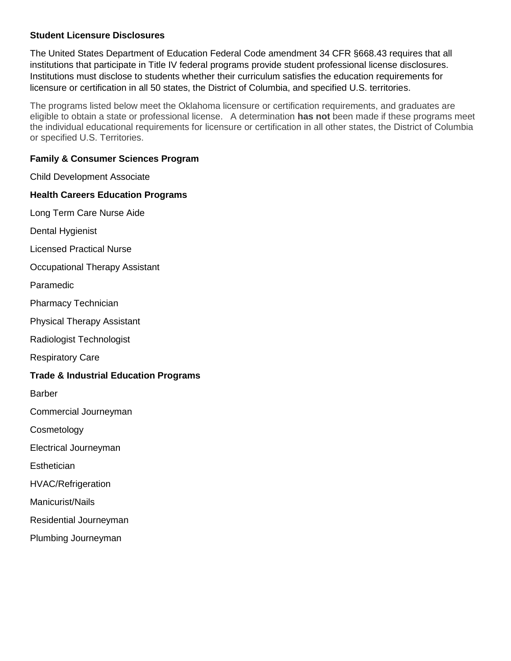### **Student Licensure Disclosures**

The United States Department of Education Federal Code amendment 34 CFR §668.43 requires that all institutions that participate in Title IV federal programs provide student professional license disclosures. Institutions must disclose to students whether their curriculum satisfies the education requirements for licensure or certification in all 50 states, the District of Columbia, and specified U.S. territories.

The programs listed below meet the Oklahoma licensure or certification requirements, and graduates are eligible to obtain a state or professional license. A determination **has not** been made if these programs meet the individual educational requirements for licensure or certification in all other states, the District of Columbia or specified U.S. Territories.

## **Family & Consumer Sciences Program**

Child Development Associate

### **Health Careers Education Programs**

Long Term Care Nurse Aide

Dental Hygienist

Licensed Practical Nurse

Occupational Therapy Assistant

Paramedic

Pharmacy Technician

Physical Therapy Assistant

Radiologist Technologist

Respiratory Care

### **Trade & Industrial Education Programs**

Barber

Commercial Journeyman

**Cosmetology** 

Electrical Journeyman

**Esthetician** 

HVAC/Refrigeration

Manicurist/Nails

Residential Journeyman

Plumbing Journeyman